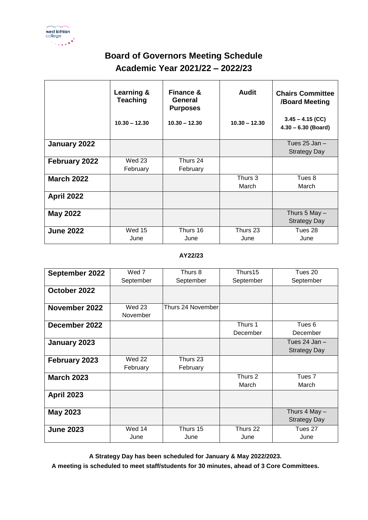

## **Board of Governors Meeting Schedule Academic Year 2021/22 – 2022/23**

|                   | Learning &<br><b>Teaching</b> | <b>Finance &amp;</b><br>General<br><b>Purposes</b> | <b>Audit</b>    | <b>Chairs Committee</b><br>/Board Meeting   |
|-------------------|-------------------------------|----------------------------------------------------|-----------------|---------------------------------------------|
|                   | $10.30 - 12.30$               | $10.30 - 12.30$                                    | $10.30 - 12.30$ | $3.45 - 4.15$ (CC)<br>$4.30 - 6.30$ (Board) |
| January 2022      |                               |                                                    |                 | Tues $25$ Jan $-$                           |
|                   |                               |                                                    |                 | <b>Strategy Day</b>                         |
| February 2022     | <b>Wed 23</b>                 | Thurs 24                                           |                 |                                             |
|                   | February                      | February                                           |                 |                                             |
| <b>March 2022</b> |                               |                                                    | Thurs 3         | Tues 8                                      |
|                   |                               |                                                    | March           | March                                       |
| <b>April 2022</b> |                               |                                                    |                 |                                             |
| <b>May 2022</b>   |                               |                                                    |                 | Thurs $5$ May $-$                           |
|                   |                               |                                                    |                 | <b>Strategy Day</b>                         |
| <b>June 2022</b>  | <b>Wed 15</b>                 | Thurs 16                                           | Thurs 23        | Tues 28                                     |
|                   | June                          | June                                               | June            | June                                        |

## **AY22/23**

| September 2022    | Wed 7         | Thurs 8           | Thurs15   | Tues 20             |
|-------------------|---------------|-------------------|-----------|---------------------|
|                   | September     | September         | September | September           |
| October 2022      |               |                   |           |                     |
| November 2022     | <b>Wed 23</b> | Thurs 24 November |           |                     |
|                   | November      |                   |           |                     |
| December 2022     |               |                   | Thurs 1   | Tues 6              |
|                   |               |                   | December  | December            |
| January 2023      |               |                   |           | Tues $24$ Jan $-$   |
|                   |               |                   |           | <b>Strategy Day</b> |
| February 2023     | <b>Wed 22</b> | Thurs 23          |           |                     |
|                   | February      | February          |           |                     |
| <b>March 2023</b> |               |                   | Thurs 2   | Tues <sub>7</sub>   |
|                   |               |                   | March     | March               |
| <b>April 2023</b> |               |                   |           |                     |
| <b>May 2023</b>   |               |                   |           | Thurs 4 May -       |
|                   |               |                   |           | <b>Strategy Day</b> |
| <b>June 2023</b>  | Wed 14        | Thurs 15          | Thurs 22  | Tues 27             |
|                   | June          | June              | June      | June                |

**A Strategy Day has been scheduled for January & May 2022/2023.**

**A meeting is scheduled to meet staff/students for 30 minutes, ahead of 3 Core Committees.**